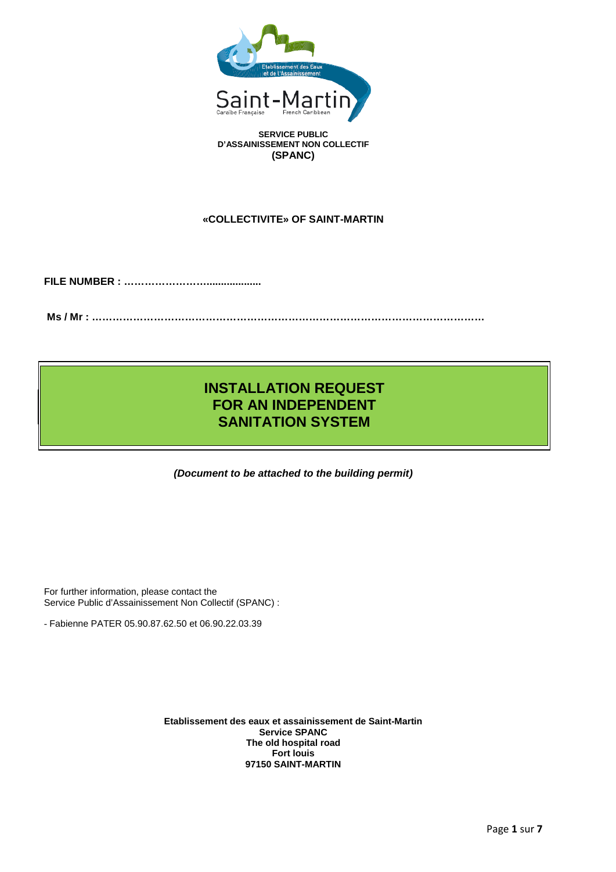

**D'ASSAINISSEMENT NON COLLECTIF (SPANC)**

# **«COLLECTIVITE» OF SAINT-MARTIN**

**FILE NUMBER : ……………………...................**

**Ms / Mr : ……………………………………………………………………………………………………**

# **INSTALLATION REQUEST FOR AN INDEPENDENT SANITATION SYSTEM**

*(Document to be attached to the building permit)*

For further information, please contact the Service Public d'Assainissement Non Collectif (SPANC) :

- Fabienne PATER 05.90.87.62.50 et 06.90.22.03.39

**Etablissement des eaux et assainissement de Saint-Martin Service SPANC The old hospital road Fort louis 97150 SAINT-MARTIN**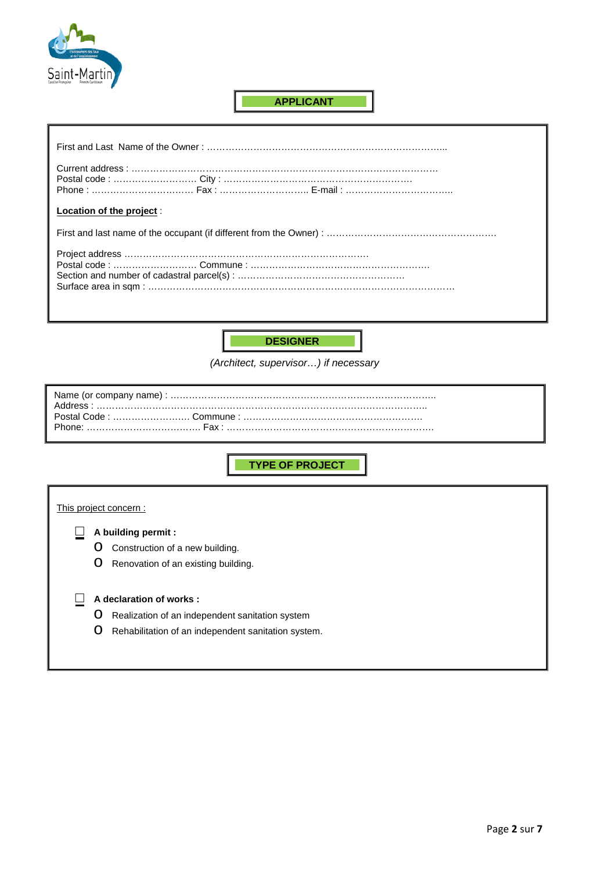

# **APPLICANT**

| Location of the project : |
|---------------------------|
|                           |
|                           |
|                           |



*(Architect, supervisor…) if necessary*

Name (or company name) : ………………………………………………………………………….. Address : …………………………………………………………………………………………….. Postal Code : ……………………. Commune : …………………………………………………. Phone: ………………………………. Fax : ………………………………………………………….

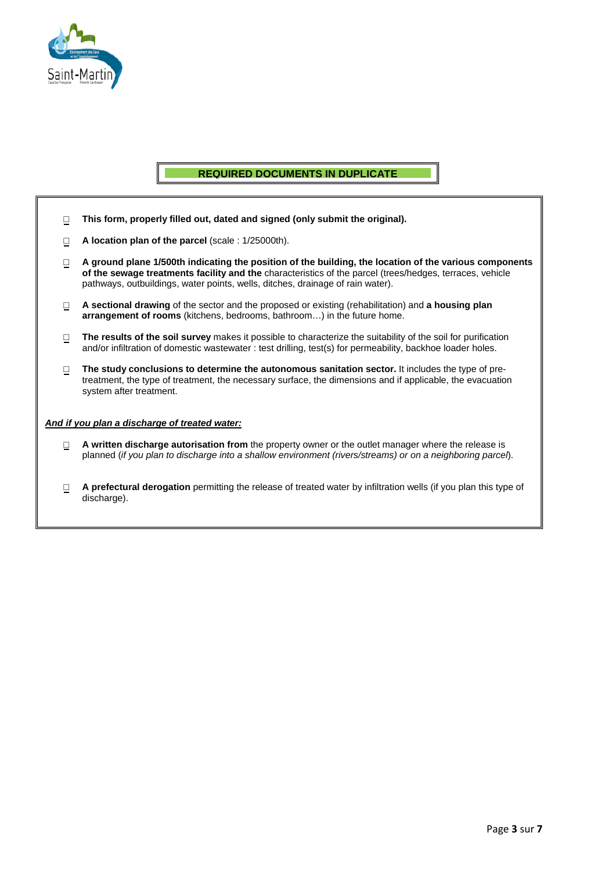

# **REQUIRED DOCUMENTS IN DUPLICATE**

- □ **This form, properly filled out, dated and signed (only submit the original).**
- □ **A location plan of the parcel** (scale : 1/25000th).
- □ **A ground plane 1/500th indicating the position of the building, the location of the various components of the sewage treatments facility and the** characteristics of the parcel (trees/hedges, terraces, vehicle pathways, outbuildings, water points, wells, ditches, drainage of rain water).
- □ **A sectional drawing** of the sector and the proposed or existing (rehabilitation) and **a housing plan arrangement of rooms** (kitchens, bedrooms, bathroom…) in the future home.
- □ **The results of the soil survey** makes it possible to characterize the suitability of the soil for purification and/or infiltration of domestic wastewater : test drilling, test(s) for permeability, backhoe loader holes.
- □ **The study conclusions to determine the autonomous sanitation sector.** It includes the type of pretreatment, the type of treatment, the necessary surface, the dimensions and if applicable, the evacuation system after treatment.

### *And if you plan a discharge of treated water:*

- □ **A written discharge autorisation from** the property owner or the outlet manager where the release is planned (*if you plan to discharge into a shallow environment (rivers/streams) or on a neighboring parcel*).
- □ **A prefectural derogation** permitting the release of treated water by infiltration wells (if you plan this type of discharge).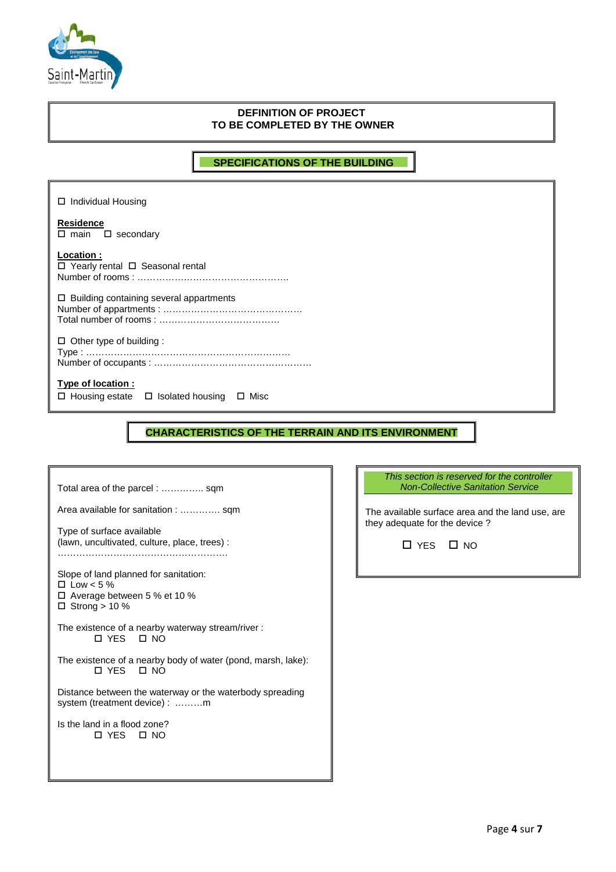

# **DEFINITION OF PROJECT TO BE COMPLETED BY THE OWNER**

**SPECIFICATIONS OF THE BUILDING**

□ Individual Housing **Residence**   $\square$  main  $\square$  secondary **Location :**  $\overline{\square}$  Yearly rental  $\Box$  Seasonal rental Number of rooms : ………………………………………….  $\square$  Building containing several appartments Number of appartments : ……………………………………… Total number of rooms : …………………………………  $\Box$  Other type of building : Type : ………………………………………………………… Number of occupants : …………………………………………… **Type of location :**  $\Box$  Housing estate  $\Box$  Isolated housing  $\Box$  Misc

**CHARACTERISTICS OF THE TERRAIN AND ITS ENVIRONMENT**

Total area of the parcel : ………….. sqm Area available for sanitation : …………. sqm Type of surface available (lawn, uncultivated, culture, place, trees) : ………………………………………………. Slope of land planned for sanitation:  $\square$  Low < 5 % Average between 5 % et 10 %  $\Box$  Strong > 10 % The existence of a nearby waterway stream/river : YES NO The existence of a nearby body of water (pond, marsh, lake): YES NO Distance between the waterway or the waterbody spreading system (treatment device) : .........m Is the land in a flood zone? YES NO

*This section is reserved for the controller Non-Collective Sanitation Service*

The available surface area and the land use, are they adequate for the device ?

YES NO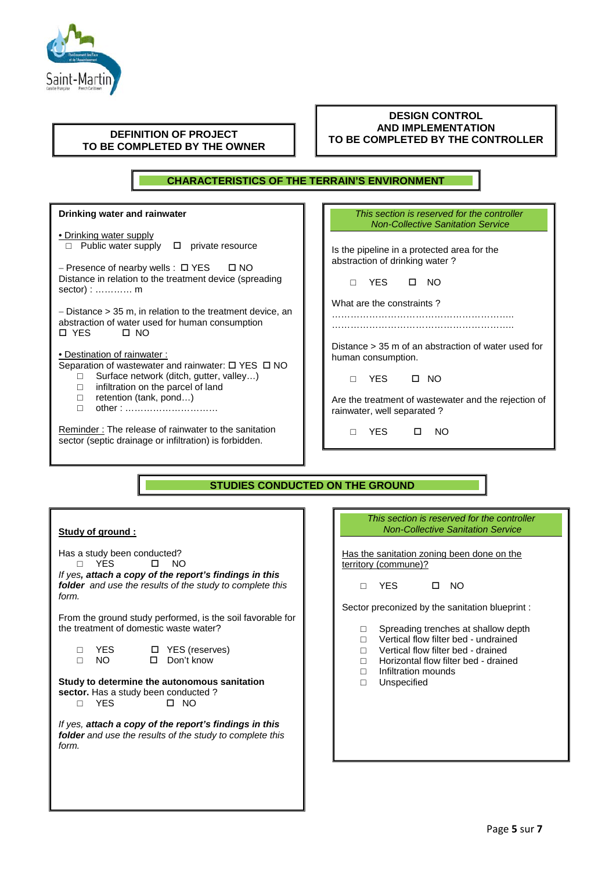

| <b>DEFINITION OF PROJECT</b> |  |
|------------------------------|--|
| TO BE COMPLETED BY THE OWNER |  |

### **DESIGN CONTROL AND IMPLEMENTATION TO BE COMPLETED BY THE CONTROLLER**

### **CHARACTERISTICS OF THE TERRAIN'S ENVIRONMENT**

**Drinking water and rainwater** • Drinking water supply  $\Box$  Public water supply  $\Box$  private resource − Presence of nearby wells : YES NO Distance in relation to the treatment device (spreading sector) : ………… m − Distance > 35 m, in relation to the treatment device, an abstraction of water used for human consumption<br> $\Box$  YFS  $\Box$  NO  $\square$  YES • Destination of rainwater : Separation of wastewater and rainwater:  $\Box$  YES  $\Box$  NO  $\Box$  Surface network (ditch, gutter, valley...)  $\Box$  infiltration on the parcel of land<br> $\Box$  retention (tank, pond...)  $\Box$  retention (tank, pond...) other : ………………………… Reminder : The release of rainwater to the sanitation sector (septic drainage or infiltration) is forbidden. *This section is reserved for the controller Non-Collective Sanitation Service* Is the pipeline in a protected area for the abstraction of drinking water ? □ YES NO What are the constraints ? ………………………………………………….. ………………………………………………….. Distance > 35 m of an abstraction of water used for human consumption. □ YES □ NO Are the treatment of wastewater and the rejection of rainwater, well separated ? □ YES NO **Study of ground :** Has a study been conducted?<br>  $\Box$  YES  $\Box$  NO □ YES □ NO *If yes, attach a copy of the report's findings in this folder and use the results of the study to complete this form.* From the ground study performed, is the soil favorable for the treatment of domestic waste water? *This section is reserved for the controller Non-Collective Sanitation Service* Has the sanitation zoning been done on the territory (commune)? □ YES □ NO Sector preconized by the sanitation blueprint : □ Spreading trenches at shallow depth<br>□ Vertical flow filter bed - undrained  $\Box$  Vertical flow filter bed - undrained<br> $\Box$  Vertical flow filter bed - drained **STUDIES CONDUCTED ON THE GROUND**

□ YES □ YES (reserves)<br>□ NO □ Don't know □ Don't know

#### **Study to determine the autonomous sanitation sector.** Has a study been conducted?<br>
<br>
<br>
<br>
<br>
<br> **<br>
I** NO □ YES

*If yes, attach a copy of the report's findings in this folder and use the results of the study to complete this form.*

- $\Box$  Vertical flow filter bed drained
- $\Box$  Horizontal flow filter bed drained
- □ Infiltration mounds **Unspecified**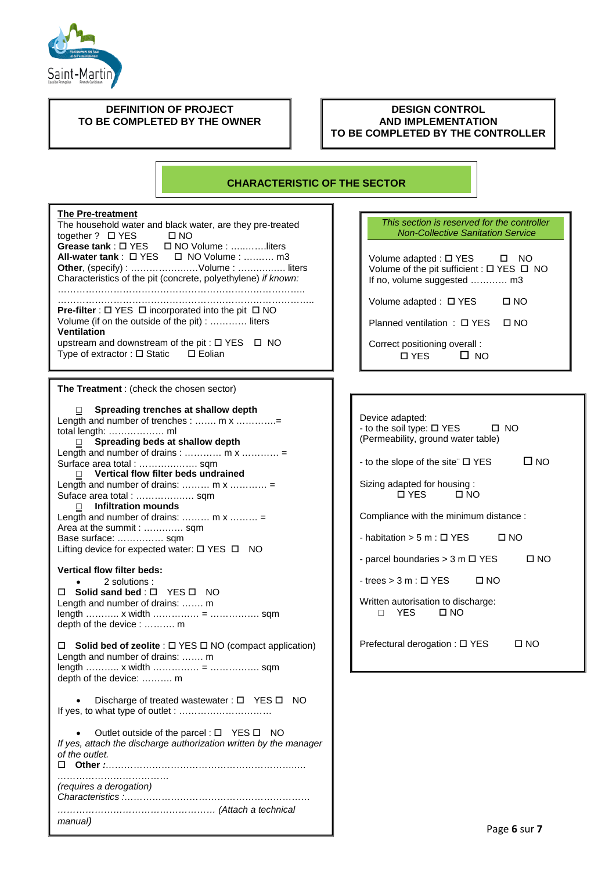

### **DEFINITION OF PROJECT TO BE COMPLETED BY THE OWNER**

### **DESIGN CONTROL AND IMPLEMENTATION TO BE COMPLETED BY THE CONTROLLER**

# **CHARACTERISTIC OF THE SECTOR**

## **The Pre-treatment**

The household water and black water, are they pre-treated together ?  $\Box$  YES  $\Box$  NO **Grease tank** : YES NO Volume : …..…….liters **All-water tank** : YES NO Volume : ….…… m3 **Other**, (specify) : ……………….…Volume : …….…..…. liters Characteristics of the pit (concrete, polyethylene) *if known:* …………………………………………………………………….. ………………………………………………………………………..

**Pre-filter** :  $\Box$  YES  $\Box$  incorporated into the pit  $\Box$  NO Volume (if on the outside of the pit) : ………… liters **Ventilation** upstream and downstream of the pit :  $\Box$  YES  $\Box$  NO Type of extractor :  $\square$  Static  $\square$  Eolian

**The Treatment** : (check the chosen sector)

| Spreading trenches at shallow depth<br>$\Box$                                        |  |  |
|--------------------------------------------------------------------------------------|--|--|
| Length and number of trenches :  m x =<br>total length:  ml                          |  |  |
| Spreading beds at shallow depth                                                      |  |  |
| Length and number of drains : $m x$                                                  |  |  |
| Surface area total :  sqm                                                            |  |  |
| Vertical flow filter beds undrained<br>П.<br>Length and number of drains: $m \times$ |  |  |
| Suface area total :  sqm                                                             |  |  |
| $\Box$ Infiltration mounds                                                           |  |  |
| Length and number of drains: $m x$                                                   |  |  |
| Area at the summit :  sqm<br>Base surface:  sqm                                      |  |  |
| Lifting device for expected water: □ YES □ NO                                        |  |  |
|                                                                                      |  |  |
| <b>Vertical flow filter beds:</b>                                                    |  |  |
| 2 solutions:<br>Solid sand bed: □ YES □ NO<br>п                                      |  |  |
| Length and number of drains:  m                                                      |  |  |
|                                                                                      |  |  |
| depth of the device :  m                                                             |  |  |
| □ Solid bed of zeolite : □ YES □ NO (compact application)                            |  |  |
| Length and number of drains:  m                                                      |  |  |
|                                                                                      |  |  |
| depth of the device:  m                                                              |  |  |
| Discharge of treated wastewater: $\Box$ YES $\Box$ NO                                |  |  |
|                                                                                      |  |  |
|                                                                                      |  |  |
| Outlet outside of the parcel : $\Box$ YES $\Box$ NO                                  |  |  |
| If yes, attach the discharge authorization written by the manager<br>of the outlet.  |  |  |
|                                                                                      |  |  |
|                                                                                      |  |  |
| (requires a derogation)                                                              |  |  |
|                                                                                      |  |  |
| manual)                                                                              |  |  |
|                                                                                      |  |  |

| This section is reserved for the controller<br><b>Non-Collective Sanitation Service</b>                           |          |  |
|-------------------------------------------------------------------------------------------------------------------|----------|--|
| Volume adapted : $\Box$ YES<br>Volume of the pit sufficient : $\Box$ YES $\Box$ NO<br>If no, volume suggested  m3 | NO.<br>□ |  |
| Volume adapted : $\Box$ YES                                                                                       | ר מס     |  |
| Planned ventilation : $\Box$ YES                                                                                  | N NO     |  |
| Correct positioning overall:<br>$\sqcap$ YES                                                                      |          |  |

| Device adapted:<br>- to the soil type: $\Box$ YES<br>□ NO<br>(Permeability, ground water table) |  |
|-------------------------------------------------------------------------------------------------|--|
| ⊟ NO<br>- to the slope of the site" □ YES                                                       |  |
| Sizing adapted for housing:<br>□ YFS<br><b>IT NO</b>                                            |  |
| Compliance with the minimum distance:                                                           |  |
| - habitation > 5 m : $\Box$ YES<br>□ NO                                                         |  |
| - parcel boundaries $>$ 3 m $\Box$ YES<br>□ NO                                                  |  |
| $-$ trees $>$ 3 m : $\Box$ YES<br>∩ NO                                                          |  |
| Written autorisation to discharge:<br>$\Box$ NO<br><b>YES</b>                                   |  |
| Prefectural derogation : □ YES<br>⊔ N∩                                                          |  |